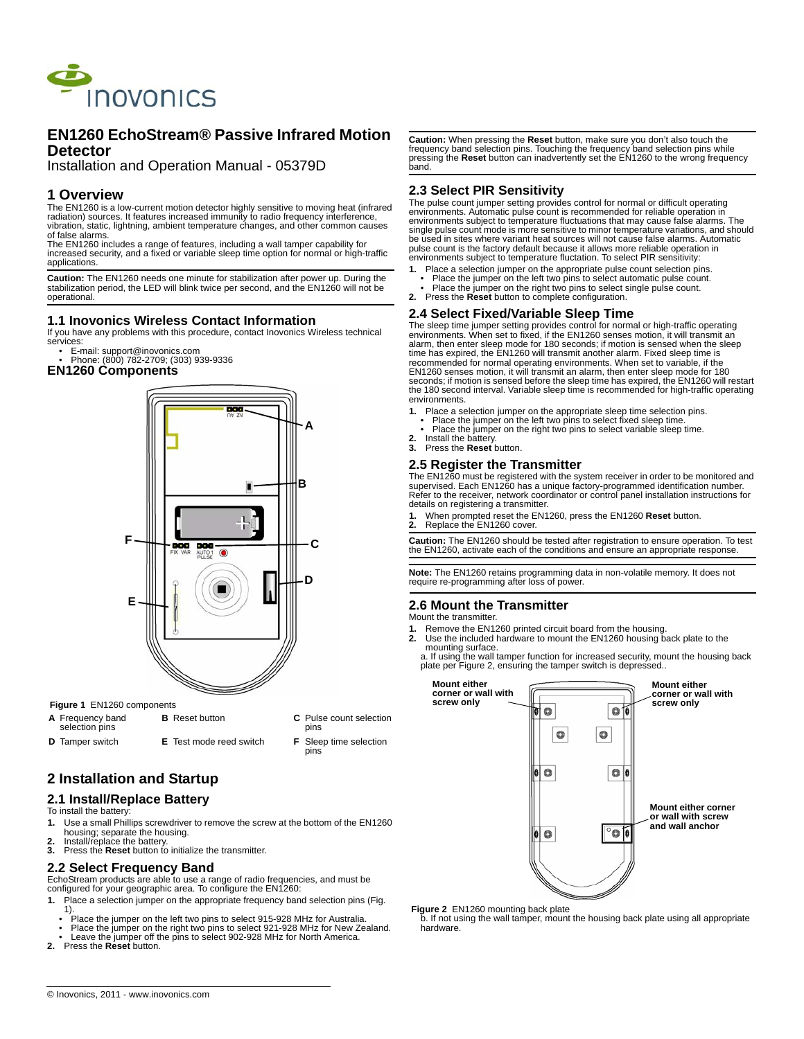

# **EN1260 EchoStream® Passive Infrared Motion Detector**

Installation and Operation Manual - 05379D

# **1 Overview**

The EN1260 is a low-current motion detector highly sensitive to moving heat (infrared radiation) sources. It features increased immunity to radio frequency interference, vibration, static, lightning, ambient temperature changes, and other common causes of false alarms.

The EN1260 includes a range of features, including a wall tamper capability for increased security, and a fixed or variable sleep time option for normal or high-traffic applications.

**Caution:** The EN1260 needs one minute for stabilization after power up. During the stabilization period, the LED will blink twice per second, and the EN1260 will not be operational.

## **1.1 Inovonics Wireless Contact Information**

If you have any problems with this procedure, contact Inovonics Wireless technical services:

- E-mail: support@inovonics.com Phone: (800) 782-2709; (303) 939-9336
- **EN1260 Components**



### **Figure 1** EN1260 components

**A** Frequency band selection pins **B** Reset button **C** Pulse count selection pins **D** Tamper switch **E** Test mode reed switch **F** Sleep time selection pins

# **2 Installation and Startup**

# **2.1 Install/Replace Battery**

To install the battery:

- **1.** Use a small Phillips screwdriver to remove the screw at the bottom of the EN1260 housing; separate the housing.
- **2.** Install/replace the battery.<br>**3.** Press the **Reset** button to
- **3.** Press the **Reset** button to initialize the transmitter.

# **2.2 Select Frequency Band**

EchoStream products are able to use a range of radio frequencies, and must be configured for your geographic area. To configure the EN1260:

- 
- **1.** Place a selection jumper on the appropriate frequency band selection pins (Fig.
	- 1). Place the jumper on the left two pins to select 915-928 MHz for Australia.
- Place the jumper on the right two pins to select 921-928 MHz for New Zealand.
- Leave the jumper off the pins to select 902-928 MHz for North America.
- **2.** Press the **Reset** button.

**Caution:** When pressing the **Reset** button, make sure you don't also touch the frequency band selection pins. Touching the frequency band selection pins while pressing the Reset button can inadvertently set the EN1260 to the wrong frequency band.

# **2.3 Select PIR Sensitivity**

The pulse count jumper setting provides control for normal or difficult operating environments. Automatic pulse count is recommended for reliable operation in environments subject to temperature fluctuations that may cause false alarms. The single pulse count mode is more sensitive to minor temperature variations, and should be used in sites where variant heat sources will not cause false alarms. Automatic pulse count is the factory default because it allows more reliable operation in environments subject to temperature fluctation. To select PIR sensitivity:

- **1.** Place a selection jumper on the appropriate pulse count selection pins.
- Place the jumper on the left two pins to select automatic pulse count. Place the jumper on the right two pins to select single pulse count.
- **2.** Press the **Reset** button to complete configuration.

# **2.4 Select Fixed/Variable Sleep Time**

The sleep time jumper setting provides control for normal or high-traffic operating environments. When set to fixed, if the EN1260 senses motion, it will transmit an alarm, then enter sleep mode for 180 seconds; if motion is sensed when the sleep time has expired, the EN1260 will transmit another alarm. Fixed sleep time is recommended for normal operating environments. When set to variable, if the EN1260 senses motion, it will transmit an alarm, then enter sleep mode for 180 seconds; if motion is sensed before the sleep time has expired, the EN1260 will restart the 180 second interval. Variable sleep time is recommended for high-traffic operating environments.

- 
- **1.** Place a selection jumper on the appropriate sleep time selection pins. Place the jumper on the left two pins to select fixed sleep time.
- Place the jumper on the right two pins to select variable sleep time.
- **2.** Install the battery. **3.** Press the **Reset** button.

# **2.5 Register the Transmitter**

The EN1260 must be registered with the system receiver in order to be monitored and<br>supervised. Each EN1260 has a unique factory-programmed identification number.<br>Refer to the receiver, network coordinator or control panel details on registering a transmitter.

**1.** When prompted reset the EN1260, press the EN1260 **Reset** button.

**2.** Replace the EN1260 cover.

**Caution:** The EN1260 should be tested after registration to ensure operation. To test the EN1260, activate each of the conditions and ensure an appropriate response.

**Note:** The EN1260 retains programming data in non-volatile memory. It does not require re-programming after loss of power.

# **2.6 Mount the Transmitter**

Mount the transmitter.

- **1.** Remove the EN1260 printed circuit board from the housing. **2.** Use the included hardware to mount the EN1260 housing back plate to the
- mounting surface.

a. If using the wall tamper function for increased security, mount the housing back plate per Figure 2, ensuring the tamper switch is depressed..



**Figure 2** EN1260 mounting back plate<br>b. If not using the wall tamper, mount the housing back plate using all appropriate hardware.